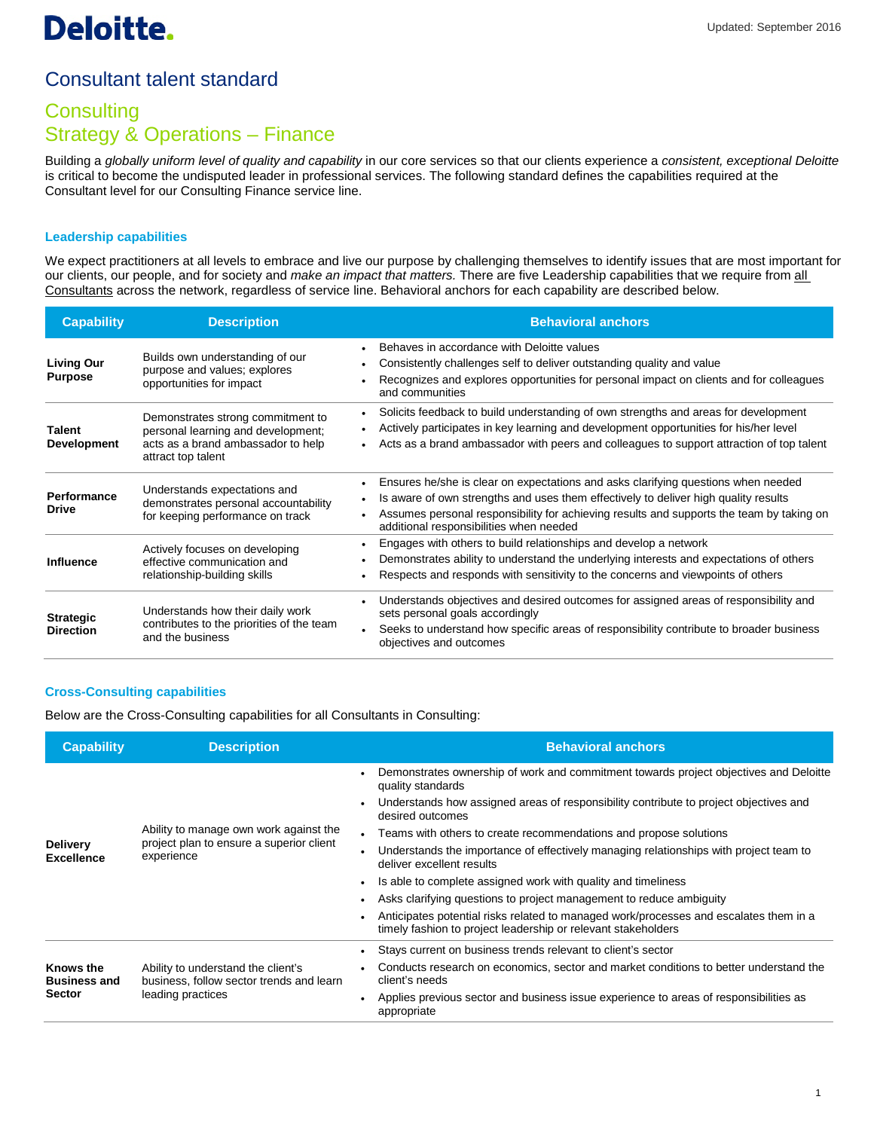# Consultant talent standard

## **Consulting** Strategy & Operations – Finance

Building a *globally uniform level of quality and capability* in our core services so that our clients experience a *consistent, exceptional Deloitte* is critical to become the undisputed leader in professional services. The following standard defines the capabilities required at the Consultant level for our Consulting Finance service line.

#### **Leadership capabilities**

We expect practitioners at all levels to embrace and live our purpose by challenging themselves to identify issues that are most important for our clients, our people, and for society and *make an impact that matters.* There are five Leadership capabilities that we require from all Consultants across the network, regardless of service line. Behavioral anchors for each capability are described below.

| <b>Capability</b>                    | <b>Description</b>                                                                                                                  | <b>Behavioral anchors</b>                                                                                                                                                                                                                                                                                       |
|--------------------------------------|-------------------------------------------------------------------------------------------------------------------------------------|-----------------------------------------------------------------------------------------------------------------------------------------------------------------------------------------------------------------------------------------------------------------------------------------------------------------|
| <b>Living Our</b><br><b>Purpose</b>  | Builds own understanding of our<br>purpose and values; explores<br>opportunities for impact                                         | Behaves in accordance with Deloitte values<br>Consistently challenges self to deliver outstanding quality and value<br>Recognizes and explores opportunities for personal impact on clients and for colleagues<br>and communities                                                                               |
| <b>Talent</b><br><b>Development</b>  | Demonstrates strong commitment to<br>personal learning and development;<br>acts as a brand ambassador to help<br>attract top talent | Solicits feedback to build understanding of own strengths and areas for development<br>Actively participates in key learning and development opportunities for his/her level<br>Acts as a brand ambassador with peers and colleagues to support attraction of top talent                                        |
| <b>Performance</b><br><b>Drive</b>   | Understands expectations and<br>demonstrates personal accountability<br>for keeping performance on track                            | Ensures he/she is clear on expectations and asks clarifying questions when needed<br>Is aware of own strengths and uses them effectively to deliver high quality results<br>Assumes personal responsibility for achieving results and supports the team by taking on<br>additional responsibilities when needed |
| <b>Influence</b>                     | Actively focuses on developing<br>effective communication and<br>relationship-building skills                                       | Engages with others to build relationships and develop a network<br>Demonstrates ability to understand the underlying interests and expectations of others<br>Respects and responds with sensitivity to the concerns and viewpoints of others                                                                   |
| <b>Strategic</b><br><b>Direction</b> | Understands how their daily work<br>contributes to the priorities of the team<br>and the business                                   | Understands objectives and desired outcomes for assigned areas of responsibility and<br>sets personal goals accordingly<br>Seeks to understand how specific areas of responsibility contribute to broader business<br>objectives and outcomes                                                                   |

#### **Cross-Consulting capabilities**

Below are the Cross-Consulting capabilities for all Consultants in Consulting:

| <b>Capability</b>                                 | <b>Description</b>                                                                                  | <b>Behavioral anchors</b>                                                                                                                              |
|---------------------------------------------------|-----------------------------------------------------------------------------------------------------|--------------------------------------------------------------------------------------------------------------------------------------------------------|
| <b>Delivery</b><br><b>Excellence</b>              | Ability to manage own work against the<br>project plan to ensure a superior client<br>experience    | Demonstrates ownership of work and commitment towards project objectives and Deloitte<br>quality standards                                             |
|                                                   |                                                                                                     | Understands how assigned areas of responsibility contribute to project objectives and<br>desired outcomes                                              |
|                                                   |                                                                                                     | Teams with others to create recommendations and propose solutions<br>$\bullet$                                                                         |
|                                                   |                                                                                                     | Understands the importance of effectively managing relationships with project team to<br>deliver excellent results                                     |
|                                                   |                                                                                                     | Is able to complete assigned work with quality and timeliness                                                                                          |
|                                                   |                                                                                                     | Asks clarifying questions to project management to reduce ambiguity                                                                                    |
|                                                   |                                                                                                     | Anticipates potential risks related to managed work/processes and escalates them in a<br>timely fashion to project leadership or relevant stakeholders |
| <b>Knows the</b><br><b>Business and</b><br>Sector | Ability to understand the client's<br>business, follow sector trends and learn<br>leading practices | Stays current on business trends relevant to client's sector                                                                                           |
|                                                   |                                                                                                     | Conducts research on economics, sector and market conditions to better understand the<br>client's needs                                                |
|                                                   |                                                                                                     | Applies previous sector and business issue experience to areas of responsibilities as<br>appropriate                                                   |